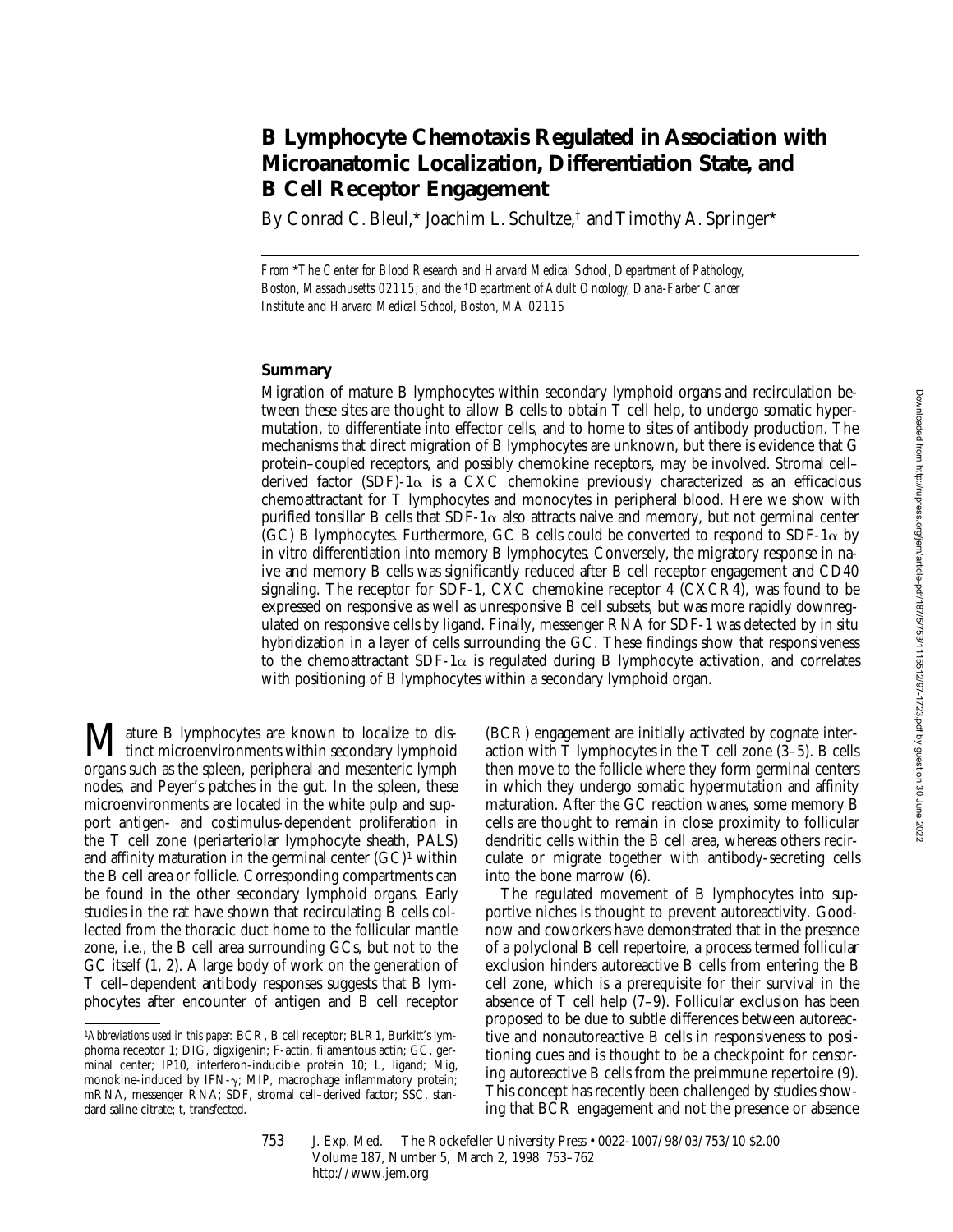# **B Lymphocyte Chemotaxis Regulated in Association with Microanatomic Localization, Differentiation State, and B Cell Receptor Engagement**

By Conrad C. Bleul,\* Joachim L. Schultze,<sup>†</sup> and Timothy A. Springer\*

*From* \**The Center for Blood Research and Harvard Medical School, Department of Pathology, Boston, Massachusetts 02115; and the* †*Department of Adult Oncology, Dana-Farber Cancer Institute and Harvard Medical School, Boston, MA 02115*

## **Summary**

Migration of mature B lymphocytes within secondary lymphoid organs and recirculation between these sites are thought to allow B cells to obtain T cell help, to undergo somatic hypermutation, to differentiate into effector cells, and to home to sites of antibody production. The mechanisms that direct migration of B lymphocytes are unknown, but there is evidence that G protein–coupled receptors, and possibly chemokine receptors, may be involved. Stromal cell– derived factor (SDF)-1 $\alpha$  is a CXC chemokine previously characterized as an efficacious chemoattractant for T lymphocytes and monocytes in peripheral blood. Here we show with purified tonsillar B cells that SDF-1 $\alpha$  also attracts naive and memory, but not germinal center (GC) B lymphocytes. Furthermore, GC B cells could be converted to respond to SDF-1 $\alpha$  by in vitro differentiation into memory B lymphocytes. Conversely, the migratory response in naive and memory B cells was significantly reduced after B cell receptor engagement and CD40 signaling. The receptor for SDF-1, CXC chemokine receptor 4  $(CXCR4)$ , was found to be expressed on responsive as well as unresponsive B cell subsets, but was more rapidly downregulated on responsive cells by ligand. Finally, messenger RNA for SDF-1 was detected by in situ hybridization in a layer of cells surrounding the GC. These findings show that responsiveness to the chemoattractant SDF-1 $\alpha$  is regulated during B lymphocyte activation, and correlates with positioning of B lymphocytes within a secondary lymphoid organ.

ature B lymphocytes are known to localize to dis-**I** tinct microenvironments within secondary lymphoid organs such as the spleen, peripheral and mesenteric lymph nodes, and Peyer's patches in the gut. In the spleen, these microenvironments are located in the white pulp and support antigen- and costimulus-dependent proliferation in the T cell zone (periarteriolar lymphocyte sheath, PALS) and affinity maturation in the germinal center  $(GC)^1$  within the B cell area or follicle. Corresponding compartments can be found in the other secondary lymphoid organs. Early studies in the rat have shown that recirculating B cells collected from the thoracic duct home to the follicular mantle zone, i.e., the B cell area surrounding GCs, but not to the GC itself (1, 2). A large body of work on the generation of T cell–dependent antibody responses suggests that B lymphocytes after encounter of antigen and B cell receptor

(BCR) engagement are initially activated by cognate interaction with T lymphocytes in the T cell zone (3–5). B cells then move to the follicle where they form germinal centers in which they undergo somatic hypermutation and affinity maturation. After the GC reaction wanes, some memory B cells are thought to remain in close proximity to follicular dendritic cells within the B cell area, whereas others recirculate or migrate together with antibody-secreting cells into the bone marrow (6).

The regulated movement of B lymphocytes into supportive niches is thought to prevent autoreactivity. Goodnow and coworkers have demonstrated that in the presence of a polyclonal B cell repertoire, a process termed follicular exclusion hinders autoreactive B cells from entering the B cell zone, which is a prerequisite for their survival in the absence of T cell help (7–9). Follicular exclusion has been proposed to be due to subtle differences between autoreactive and nonautoreactive B cells in responsiveness to positioning cues and is thought to be a checkpoint for censoring autoreactive B cells from the preimmune repertoire (9). This concept has recently been challenged by studies showing that BCR engagement and not the presence or absence

753 J. Exp. Med. The Rockefeller University Press • 0022-1007/98/03/753/10 \$2.00 Volume 187, Number 5, March 2, 1998 753–762 http://www.jem.org

<sup>&</sup>lt;sup>1</sup>Abbreviations used in this paper: BCR, B cell receptor; BLR1, Burkitt's lymphoma receptor 1; DIG, digxigenin; F-actin, filamentous actin; GC, germinal center; IP10, interferon-inducible protein 10; L, ligand; Mig, monokine-induced by IFN- $\gamma$ ; MIP, macrophage inflammatory protein; mRNA, messenger RNA; SDF, stromal cell–derived factor; SSC, standard saline citrate; t, transfected.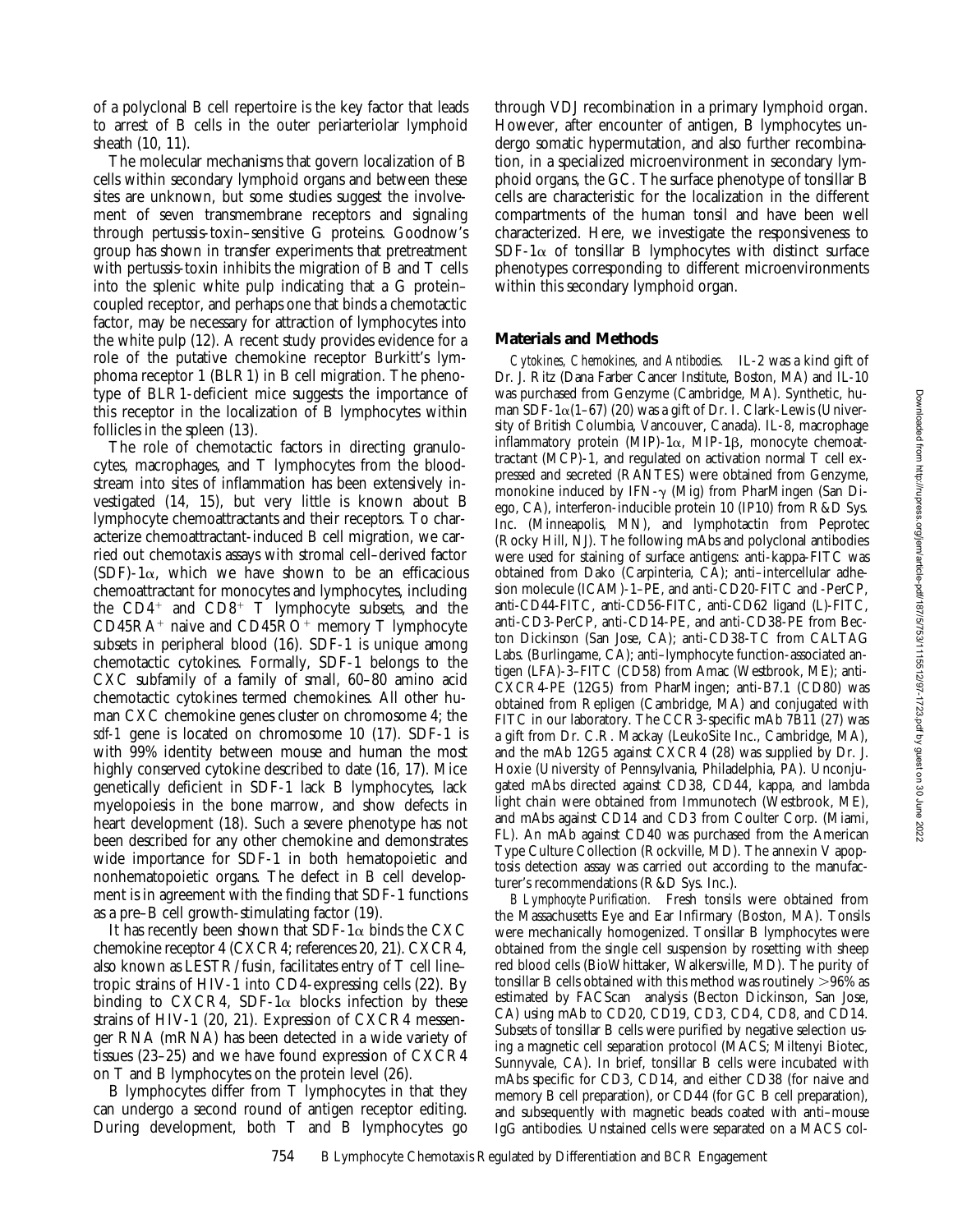of a polyclonal B cell repertoire is the key factor that leads to arrest of B cells in the outer periarteriolar lymphoid sheath (10, 11).

The molecular mechanisms that govern localization of B cells within secondary lymphoid organs and between these sites are unknown, but some studies suggest the involvement of seven transmembrane receptors and signaling through pertussis-toxin–sensitive G proteins. Goodnow's group has shown in transfer experiments that pretreatment with pertussis-toxin inhibits the migration of B and T cells into the splenic white pulp indicating that a G protein– coupled receptor, and perhaps one that binds a chemotactic factor, may be necessary for attraction of lymphocytes into the white pulp (12). A recent study provides evidence for a role of the putative chemokine receptor Burkitt's lymphoma receptor 1 (BLR1) in B cell migration. The phenotype of BLR1-deficient mice suggests the importance of this receptor in the localization of B lymphocytes within follicles in the spleen (13).

The role of chemotactic factors in directing granulocytes, macrophages, and T lymphocytes from the bloodstream into sites of inflammation has been extensively investigated (14, 15), but very little is known about B lymphocyte chemoattractants and their receptors. To characterize chemoattractant-induced B cell migration, we carried out chemotaxis assays with stromal cell–derived factor (SDF)-1 $\alpha$ , which we have shown to be an efficacious chemoattractant for monocytes and lymphocytes, including the  $CD4^+$  and  $CD8^+$  T lymphocyte subsets, and the  $CD45RA<sup>+</sup>$  naive and  $CD45RO<sup>+</sup>$  memory T lymphocyte subsets in peripheral blood (16). SDF-1 is unique among chemotactic cytokines. Formally, SDF-1 belongs to the CXC subfamily of a family of small, 60–80 amino acid chemotactic cytokines termed chemokines. All other human CXC chemokine genes cluster on chromosome 4; the *sdf-1* gene is located on chromosome 10 (17). SDF-1 is with 99% identity between mouse and human the most highly conserved cytokine described to date (16, 17). Mice genetically deficient in SDF-1 lack B lymphocytes, lack myelopoiesis in the bone marrow, and show defects in heart development (18). Such a severe phenotype has not been described for any other chemokine and demonstrates wide importance for SDF-1 in both hematopoietic and nonhematopoietic organs. The defect in B cell development is in agreement with the finding that SDF-1 functions as a pre–B cell growth-stimulating factor (19).

It has recently been shown that SDF-1 $\alpha$  binds the CXC chemokine receptor 4 (CXCR4; references 20, 21). CXCR4, also known as LESTR/fusin, facilitates entry of T cell line– tropic strains of HIV-1 into CD4-expressing cells (22). By binding to CXCR4, SDF-1 $\alpha$  blocks infection by these strains of HIV-1 (20, 21). Expression of CXCR4 messenger RNA (mRNA) has been detected in a wide variety of tissues (23–25) and we have found expression of CXCR4 on T and B lymphocytes on the protein level (26).

B lymphocytes differ from T lymphocytes in that they can undergo a second round of antigen receptor editing. During development, both T and B lymphocytes go

through VDJ recombination in a primary lymphoid organ. However, after encounter of antigen, B lymphocytes undergo somatic hypermutation, and also further recombination, in a specialized microenvironment in secondary lymphoid organs, the GC. The surface phenotype of tonsillar B cells are characteristic for the localization in the different compartments of the human tonsil and have been well characterized. Here, we investigate the responsiveness to SDF-1 $\alpha$  of tonsillar B lymphocytes with distinct surface phenotypes corresponding to different microenvironments within this secondary lymphoid organ.

## **Materials and Methods**

*Cytokines, Chemokines, and Antibodies.* IL-2 was a kind gift of Dr. J. Ritz (Dana Farber Cancer Institute, Boston, MA) and IL-10 was purchased from Genzyme (Cambridge, MA). Synthetic, human SDF-1 $\alpha$ (1–67) (20) was a gift of Dr. I. Clark-Lewis (University of British Columbia, Vancouver, Canada). IL-8, macrophage inflammatory protein (MIP)-1 $\alpha$ , MIP-1 $\beta$ , monocyte chemoattractant (MCP)-1, and regulated on activation normal T cell expressed and secreted (RANTES) were obtained from Genzyme, monokine induced by IFN- $\gamma$  (Mig) from PharMingen (San Diego, CA), interferon-inducible protein 10 (IP10) from R&D Sys. Inc. (Minneapolis, MN), and lymphotactin from Peprotec (Rocky Hill, NJ). The following mAbs and polyclonal antibodies were used for staining of surface antigens: anti-kappa-FITC was obtained from Dako (Carpinteria, CA); anti–intercellular adhesion molecule (ICAM)-1–PE, and anti-CD20-FITC and -PerCP, anti-CD44-FITC, anti-CD56-FITC, anti-CD62 ligand (L)-FITC, anti-CD3-PerCP, anti-CD14-PE, and anti-CD38-PE from Becton Dickinson (San Jose, CA); anti-CD38-TC from CALTAG Labs. (Burlingame, CA); anti–lymphocyte function-associated antigen (LFA)-3–FITC (CD58) from Amac (Westbrook, ME); anti-CXCR4-PE (12G5) from PharMingen; anti-B7.1 (CD80) was obtained from Repligen (Cambridge, MA) and conjugated with FITC in our laboratory. The CCR3-specific mAb 7B11 (27) was a gift from Dr. C.R. Mackay (LeukoSite Inc., Cambridge, MA), and the mAb 12G5 against CXCR4 (28) was supplied by Dr. J. Hoxie (University of Pennsylvania, Philadelphia, PA). Unconjugated mAbs directed against CD38, CD44, kappa, and lambda light chain were obtained from Immunotech (Westbrook, ME), and mAbs against CD14 and CD3 from Coulter Corp. (Miami, FL). An mAb against CD40 was purchased from the American Type Culture Collection (Rockville, MD). The annexin V apoptosis detection assay was carried out according to the manufacturer's recommendations (R&D Sys. Inc.).

*B Lymphocyte Purification.* Fresh tonsils were obtained from the Massachusetts Eye and Ear Infirmary (Boston, MA). Tonsils were mechanically homogenized. Tonsillar B lymphocytes were obtained from the single cell suspension by rosetting with sheep red blood cells (BioWhittaker, Walkersville, MD). The purity of tonsillar B cells obtained with this method was routinely  $>96\%$  as estimated by FACScan® analysis (Becton Dickinson, San Jose, CA) using mAb to CD20, CD19, CD3, CD4, CD8, and CD14. Subsets of tonsillar B cells were purified by negative selection using a magnetic cell separation protocol (MACS; Miltenyi Biotec, Sunnyvale, CA). In brief, tonsillar B cells were incubated with mAbs specific for CD3, CD14, and either CD38 (for naive and memory B cell preparation), or CD44 (for GC B cell preparation), and subsequently with magnetic beads coated with anti–mouse IgG antibodies. Unstained cells were separated on a MACS col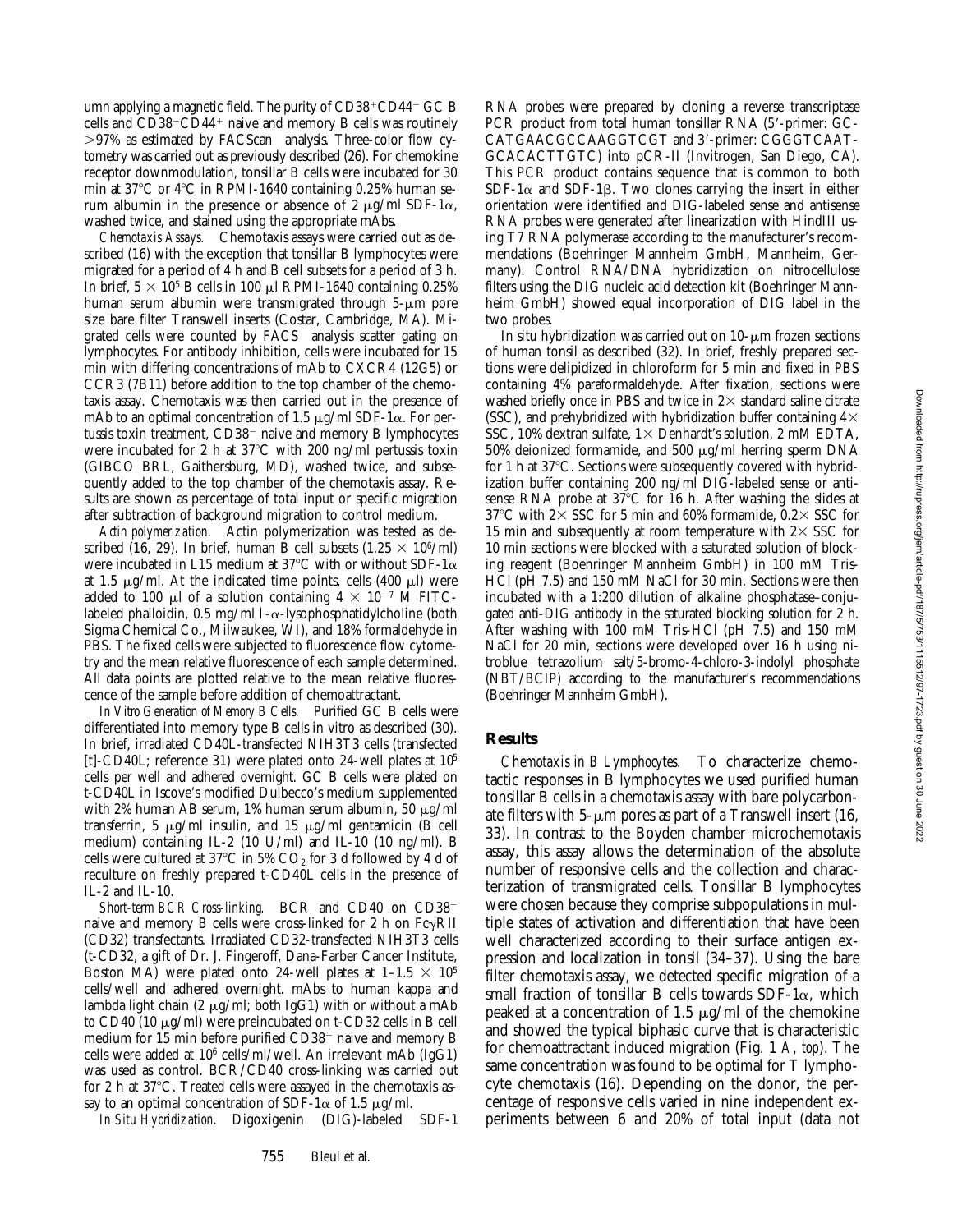umn applying a magnetic field. The purity of  $CD38+CDA4-CC$  B cells and  $CD38$ <sup>-</sup> $CD44$ <sup>+</sup> naive and memory B cells was routinely  $>97\%$  as estimated by FACScan<sup>®</sup> analysis. Three-color flow cytometry was carried out as previously described (26). For chemokine receptor downmodulation, tonsillar B cells were incubated for 30 min at 37°C or 4°C in RPMI-1640 containing 0.25% human serum albumin in the presence or absence of 2  $\mu$ g/ml SDF-1 $\alpha$ , washed twice, and stained using the appropriate mAbs.

*Chemotaxis Assays.* Chemotaxis assays were carried out as described (16) with the exception that tonsillar B lymphocytes were migrated for a period of 4 h and B cell subsets for a period of 3 h. In brief,  $5 \times 10^5$  B cells in 100 µl RPMI-1640 containing 0.25% human serum albumin were transmigrated through  $5-\mu m$  pore size bare filter Transwell inserts (Costar, Cambridge, MA). Migrated cells were counted by FACS<sup>®</sup> analysis scatter gating on lymphocytes. For antibody inhibition, cells were incubated for 15 min with differing concentrations of mAb to CXCR4 (12G5) or CCR3 (7B11) before addition to the top chamber of the chemotaxis assay. Chemotaxis was then carried out in the presence of mAb to an optimal concentration of 1.5  $\mu$ g/ml SDF-1 $\alpha$ . For pertussis toxin treatment,  $CD38<sup>-</sup>$  naive and memory B lymphocytes were incubated for 2 h at  $37^{\circ}$ C with 200 ng/ml pertussis toxin (GIBCO BRL, Gaithersburg, MD), washed twice, and subsequently added to the top chamber of the chemotaxis assay. Results are shown as percentage of total input or specific migration after subtraction of background migration to control medium.

*Actin polymerization.* Actin polymerization was tested as described (16, 29). In brief, human B cell subsets (1.25  $\times$  10<sup>6</sup>/ml) were incubated in L15 medium at 37°C with or without SDF-1 $\alpha$ at 1.5  $\mu$ g/ml. At the indicated time points, cells (400  $\mu$ l) were added to 100  $\mu$ l of a solution containing  $4 \times 10^{-7}$  M FITClabeled phalloidin, 0.5 mg/ml  $1-\alpha$ -lysophosphatidylcholine (both Sigma Chemical Co., Milwaukee, WI), and 18% formaldehyde in PBS. The fixed cells were subjected to fluorescence flow cytometry and the mean relative fluorescence of each sample determined. All data points are plotted relative to the mean relative fluorescence of the sample before addition of chemoattractant.

*In Vitro Generation of Memory B Cells.* Purified GC B cells were differentiated into memory type B cells in vitro as described (30). In brief, irradiated CD40L-transfected NIH3T3 cells (transfected [t]-CD40L; reference 31) were plated onto 24-well plates at 105 cells per well and adhered overnight. GC B cells were plated on t-CD40L in Iscove's modified Dulbecco's medium supplemented with 2% human AB serum, 1% human serum albumin, 50  $\mu$ g/ml transferrin, 5  $\mu$ g/ml insulin, and 15  $\mu$ g/ml gentamicin (B cell medium) containing IL-2 (10 U/ml) and IL-10 (10 ng/ml). B cells were cultured at  $37^{\circ}$ C in 5% CO<sub>2</sub> for 3 d followed by 4 d of reculture on freshly prepared t-CD40L cells in the presence of IL-2 and IL-10.

Short-term BCR Cross-linking. BCR and CD40 on CD38<sup>-</sup> naive and memory B cells were cross-linked for 2 h on  $Fc\gamma RII$ (CD32) transfectants. Irradiated CD32-transfected NIH3T3 cells (t-CD32, a gift of Dr. J. Fingeroff, Dana-Farber Cancer Institute, Boston MA) were plated onto 24-well plates at  $1-1.5 \times 10^5$ cells/well and adhered overnight. mAbs to human kappa and lambda light chain (2  $\mu$ g/ml; both IgG1) with or without a mAb to CD40 (10  $\mu$ g/ml) were preincubated on t-CD32 cells in B cell medium for 15 min before purified  $CD38<sup>-</sup>$  naive and memory B cells were added at 106 cells/ml/well. An irrelevant mAb (IgG1) was used as control. BCR/CD40 cross-linking was carried out for 2 h at  $37^{\circ}$ C. Treated cells were assayed in the chemotaxis assay to an optimal concentration of SDF-1 $\alpha$  of 1.5  $\mu$ g/ml.

*In Situ Hybridization.* Digoxigenin (DIG)-labeled SDF-1

RNA probes were prepared by cloning a reverse transcriptase PCR product from total human tonsillar RNA (5'-primer: GC-CATGAACGCCAAGGTCGT and 3'-primer: CGGGTCAAT-GCACACTTGTC) into pCR-II (Invitrogen, San Diego, CA). This PCR product contains sequence that is common to both  $SDF-1\alpha$  and  $SDF-1\beta$ . Two clones carrying the insert in either orientation were identified and DIG-labeled sense and antisense RNA probes were generated after linearization with HindIII using T7 RNA polymerase according to the manufacturer's recommendations (Boehringer Mannheim GmbH, Mannheim, Germany). Control RNA/DNA hybridization on nitrocellulose filters using the DIG nucleic acid detection kit (Boehringer Mannheim GmbH) showed equal incorporation of DIG label in the two probes.

In situ hybridization was carried out on  $10$ - $\mu$ m frozen sections of human tonsil as described (32). In brief, freshly prepared sections were delipidized in chloroform for 5 min and fixed in PBS containing 4% paraformaldehyde. After fixation, sections were washed briefly once in PBS and twice in  $2\times$  standard saline citrate (SSC), and prehybridized with hybridization buffer containing  $4\times$ SSC, 10% dextran sulfate,  $1\times$  Denhardt's solution, 2 mM EDTA, 50% deionized formamide, and 500  $\mu$ g/ml herring sperm DNA for 1 h at  $37^{\circ}$ C. Sections were subsequently covered with hybridization buffer containing 200 ng/ml DIG-labeled sense or antisense RNA probe at  $37^{\circ}$ C for 16 h. After washing the slides at 37°C with  $2 \times$  SSC for 5 min and 60% formamide, 0.2 $\times$  SSC for 15 min and subsequently at room temperature with  $2 \times$  SSC for 10 min sections were blocked with a saturated solution of blocking reagent (Boehringer Mannheim GmbH) in 100 mM Tris-HCl (pH 7.5) and 150 mM NaCl for 30 min. Sections were then incubated with a 1:200 dilution of alkaline phosphatase–conjugated anti-DIG antibody in the saturated blocking solution for 2 h. After washing with 100 mM Tris-HCl (pH 7.5) and 150 mM NaCl for 20 min, sections were developed over 16 h using nitroblue tetrazolium salt/5-bromo-4-chloro-3-indolyl phosphate (NBT/BCIP) according to the manufacturer's recommendations (Boehringer Mannheim GmbH).

#### **Results**

*Chemotaxis in B Lymphocytes.* To characterize chemotactic responses in B lymphocytes we used purified human tonsillar B cells in a chemotaxis assay with bare polycarbonate filters with  $5-\mu m$  pores as part of a Transwell insert (16, 33). In contrast to the Boyden chamber microchemotaxis assay, this assay allows the determination of the absolute number of responsive cells and the collection and characterization of transmigrated cells. Tonsillar B lymphocytes were chosen because they comprise subpopulations in multiple states of activation and differentiation that have been well characterized according to their surface antigen expression and localization in tonsil (34–37). Using the bare filter chemotaxis assay, we detected specific migration of a small fraction of tonsillar B cells towards  $SDF-1\alpha$ , which peaked at a concentration of 1.5  $\mu$ g/ml of the chemokine and showed the typical biphasic curve that is characteristic for chemoattractant induced migration (Fig. 1 *A*, *top*). The same concentration was found to be optimal for T lymphocyte chemotaxis (16). Depending on the donor, the percentage of responsive cells varied in nine independent experiments between 6 and 20% of total input (data not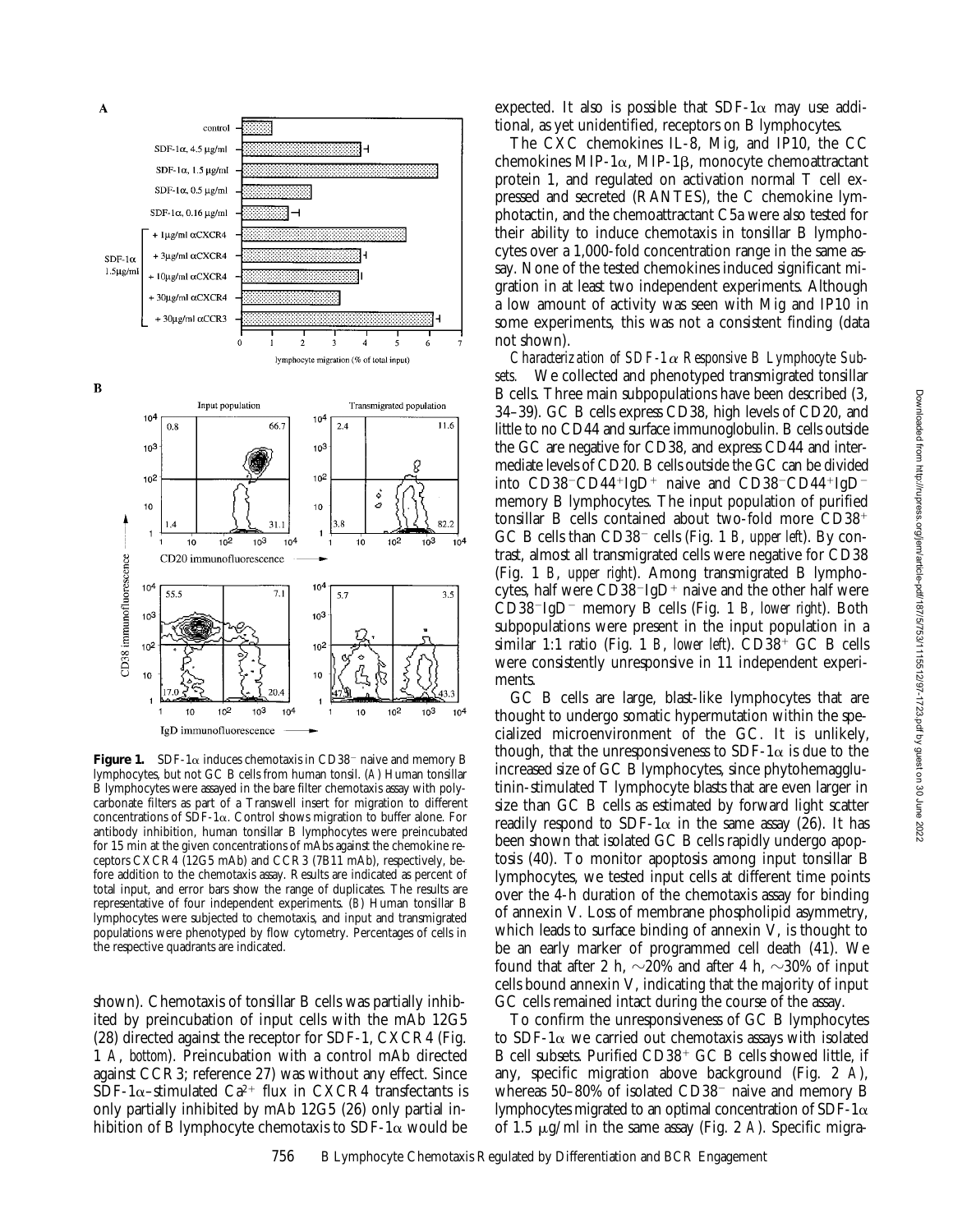

**Figure 1.** SDF-1 $\alpha$  induces chemotaxis in CD38<sup>-</sup> naive and memory B lymphocytes, but not GC B cells from human tonsil. (*A*) Human tonsillar B lymphocytes were assayed in the bare filter chemotaxis assay with polycarbonate filters as part of a Transwell insert for migration to different concentrations of  $SDF-1\alpha$ . Control shows migration to buffer alone. For antibody inhibition, human tonsillar B lymphocytes were preincubated for 15 min at the given concentrations of mAbs against the chemokine receptors CXCR4 (12G5 mAb) and CCR3 (7B11 mAb), respectively, before addition to the chemotaxis assay. Results are indicated as percent of total input, and error bars show the range of duplicates. The results are representative of four independent experiments. (*B*) Human tonsillar B lymphocytes were subjected to chemotaxis, and input and transmigrated populations were phenotyped by flow cytometry. Percentages of cells in the respective quadrants are indicated.

shown). Chemotaxis of tonsillar B cells was partially inhibited by preincubation of input cells with the mAb 12G5 (28) directed against the receptor for SDF-1, CXCR4 (Fig. 1 *A*, *bottom*). Preincubation with a control mAb directed against CCR3; reference 27) was without any effect. Since  $SDF-1\alpha$ –stimulated Ca<sup>2+</sup> flux in CXCR4 transfectants is only partially inhibited by mAb 12G5 (26) only partial inhibition of B lymphocyte chemotaxis to SDF-1 $\alpha$  would be

expected. It also is possible that  $SDF-1\alpha$  may use additional, as yet unidentified, receptors on B lymphocytes.

The CXC chemokines IL-8, Mig, and IP10, the CC chemokines MIP-1 $\alpha$ , MIP-1 $\beta$ , monocyte chemoattractant protein 1, and regulated on activation normal T cell expressed and secreted (RANTES), the C chemokine lymphotactin, and the chemoattractant C5a were also tested for their ability to induce chemotaxis in tonsillar B lymphocytes over a 1,000-fold concentration range in the same assay. None of the tested chemokines induced significant migration in at least two independent experiments. Although a low amount of activity was seen with Mig and IP10 in some experiments, this was not a consistent finding (data not shown).

*Characterization of SDF-1*a *Responsive B Lymphocyte Subsets.* We collected and phenotyped transmigrated tonsillar B cells. Three main subpopulations have been described (3, 34–39). GC B cells express CD38, high levels of CD20, and little to no CD44 and surface immunoglobulin. B cells outside the GC are negative for CD38, and express CD44 and intermediate levels of CD20. B cells outside the GC can be divided into  $CD38$ <sup>-</sup> $CD44$ <sup>+</sup> $IgD$ <sup>+</sup> naive and  $CD38$ <sup>- $CD44$ + $IgD$ <sup>-</sup></sup> memory B lymphocytes. The input population of purified tonsillar B cells contained about two-fold more  $CD38<sup>+</sup>$ GC B cells than CD38<sup>-</sup> cells (Fig. 1 *B*, *upper left*). By contrast, almost all transmigrated cells were negative for CD38 (Fig. 1 *B*, *upper right*). Among transmigrated B lymphocytes, half were  $CD38$ <sup>-</sup>IgD<sup>+</sup> naive and the other half were CD38<sup>2</sup>IgD<sup>2</sup> memory B cells (Fig. 1 *B*, *lower right*). Both subpopulations were present in the input population in a similar 1:1 ratio (Fig. 1 *B*, *lower left*).  $CD38<sup>+</sup>$  GC B cells were consistently unresponsive in 11 independent experiments.

GC B cells are large, blast-like lymphocytes that are thought to undergo somatic hypermutation within the specialized microenvironment of the GC. It is unlikely, though, that the unresponsiveness to SDF-1 $\alpha$  is due to the increased size of GC B lymphocytes, since phytohemagglutinin-stimulated T lymphocyte blasts that are even larger in size than GC B cells as estimated by forward light scatter readily respond to SDF-1 $\alpha$  in the same assay (26). It has been shown that isolated GC B cells rapidly undergo apoptosis (40). To monitor apoptosis among input tonsillar B lymphocytes, we tested input cells at different time points over the 4-h duration of the chemotaxis assay for binding of annexin V. Loss of membrane phospholipid asymmetry, which leads to surface binding of annexin V, is thought to be an early marker of programmed cell death (41). We found that after 2 h,  $\sim$ 20% and after 4 h,  $\sim$ 30% of input cells bound annexin V, indicating that the majority of input GC cells remained intact during the course of the assay.

To confirm the unresponsiveness of GC B lymphocytes to SDF-1 $\alpha$  we carried out chemotaxis assays with isolated B cell subsets. Purified  $CD38<sup>+</sup>$  GC B cells showed little, if any, specific migration above background (Fig. 2 *A*), whereas  $50-80\%$  of isolated CD38<sup>-</sup> naive and memory B lymphocytes migrated to an optimal concentration of SDF-1 $\alpha$ of 1.5 mg/ml in the same assay (Fig. 2 *A*). Specific migra-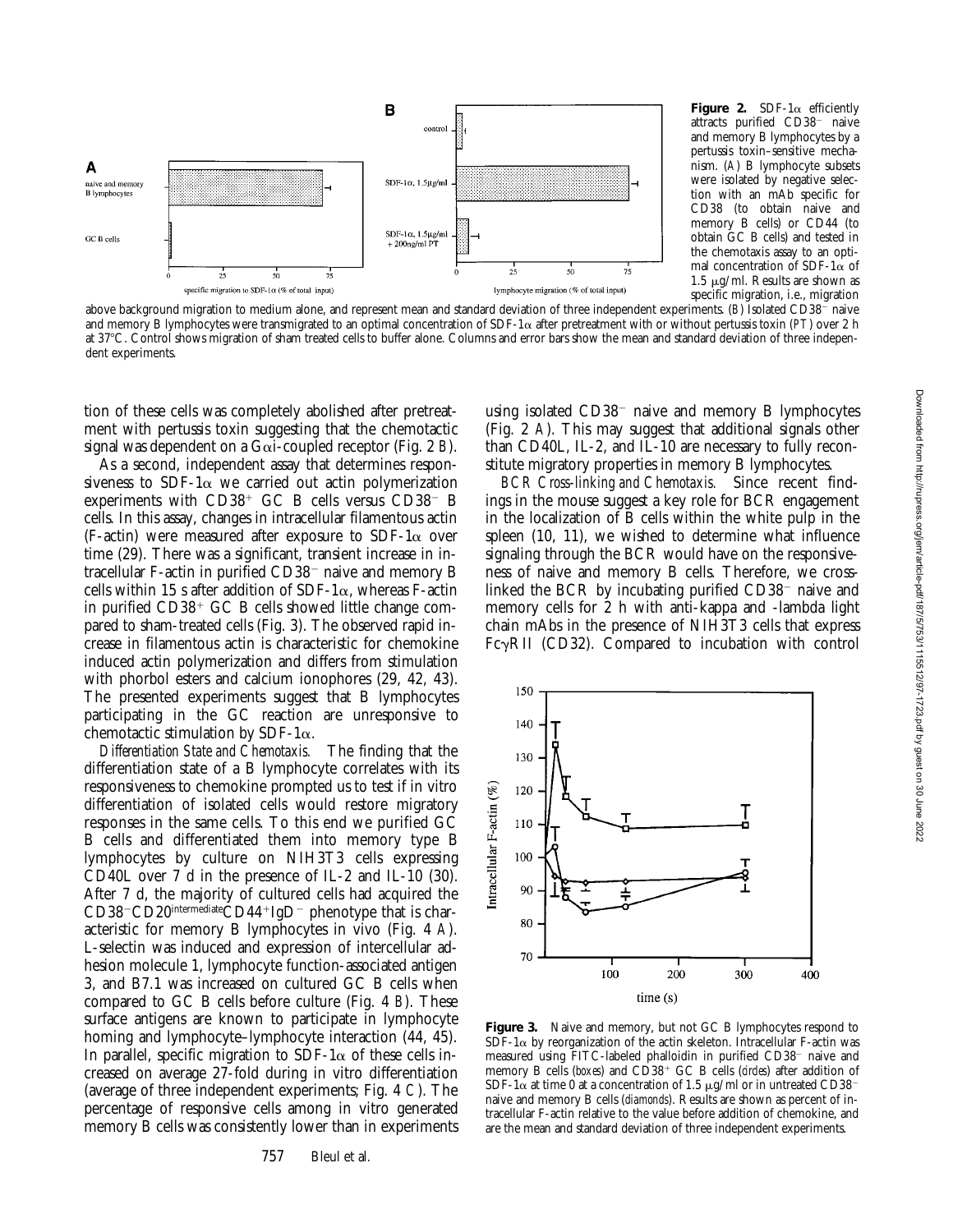

**Figure 2.** SDF-1 $\alpha$  efficiently attracts purified CD38<sup>-</sup> naive and memory B lymphocytes by a pertussis toxin–sensitive mechanism. (*A*) B lymphocyte subsets were isolated by negative selection with an mAb specific for CD38 (to obtain naive and memory B cells) or CD44 (to obtain GC B cells) and tested in the chemotaxis assay to an optimal concentration of SDF-1 $\alpha$  of 1.5  $\mu$ g/ml. Results are shown as specific migration, i.e., migration

above background migration to medium alone, and represent mean and standard deviation of three independent experiments. (*B*) Isolated CD38<sup>-</sup> naive and memory B lymphocytes were transmigrated to an optimal concentration of SDF-1 $\alpha$  after pretreatment with or without pertussis toxin (*PT*) over 2 h at 37°C. Control shows migration of sham treated cells to buffer alone. Columns and error bars show the mean and standard deviation of three independent experiments.

tion of these cells was completely abolished after pretreatment with pertussis toxin suggesting that the chemotactic signal was dependent on a Gai-coupled receptor (Fig. 2 *B*).

As a second, independent assay that determines responsiveness to SDF-1 $\alpha$  we carried out actin polymerization experiments with  $CD38<sup>+</sup>$  GC B cells versus  $CD38<sup>-</sup>$  B cells. In this assay, changes in intracellular filamentous actin (F-actin) were measured after exposure to SDF-1 $\alpha$  over time (29). There was a significant, transient increase in intracellular F-actin in purified  $CD38^-$  naive and memory B cells within 15 s after addition of SDF-1 $\alpha$ , whereas F-actin in purified  $CD38<sup>+</sup>$  GC B cells showed little change compared to sham-treated cells (Fig. 3). The observed rapid increase in filamentous actin is characteristic for chemokine induced actin polymerization and differs from stimulation with phorbol esters and calcium ionophores (29, 42, 43). The presented experiments suggest that B lymphocytes participating in the GC reaction are unresponsive to chemotactic stimulation by SDF-1 $\alpha$ .

*Differentiation State and Chemotaxis.* The finding that the differentiation state of a B lymphocyte correlates with its responsiveness to chemokine prompted us to test if in vitro differentiation of isolated cells would restore migratory responses in the same cells. To this end we purified GC B cells and differentiated them into memory type B lymphocytes by culture on NIH3T3 cells expressing CD40L over 7 d in the presence of IL-2 and IL-10 (30). After 7 d, the majority of cultured cells had acquired the CD38-CD20<sup>intermediate</sup>CD44+IgD<sup>-</sup> phenotype that is characteristic for memory B lymphocytes in vivo (Fig. 4 *A*). L-selectin was induced and expression of intercellular adhesion molecule 1, lymphocyte function-associated antigen 3, and B7.1 was increased on cultured GC B cells when compared to GC B cells before culture (Fig. 4 *B*). These surface antigens are known to participate in lymphocyte homing and lymphocyte–lymphocyte interaction (44, 45). In parallel, specific migration to SDF-1 $\alpha$  of these cells increased on average 27-fold during in vitro differentiation (average of three independent experiments; Fig. 4 *C*). The percentage of responsive cells among in vitro generated memory B cells was consistently lower than in experiments

using isolated  $CD38^-$  naive and memory B lymphocytes (Fig. 2 *A*). This may suggest that additional signals other than CD40L, IL-2, and IL-10 are necessary to fully reconstitute migratory properties in memory B lymphocytes.

*BCR Cross-linking and Chemotaxis.* Since recent findings in the mouse suggest a key role for BCR engagement in the localization of B cells within the white pulp in the spleen (10, 11), we wished to determine what influence signaling through the BCR would have on the responsiveness of naive and memory B cells. Therefore, we crosslinked the BCR by incubating purified  $CD38<sup>-</sup>$  naive and memory cells for 2 h with anti-kappa and -lambda light chain mAbs in the presence of NIH3T3 cells that express  $Fc\gamma$ RII (CD32). Compared to incubation with control



Figure 3. Naive and memory, but not GC B lymphocytes respond to SDF-1 $\alpha$  by reorganization of the actin skeleton. Intracellular F-actin was measured using FITC-labeled phalloidin in purified CD38<sup>-</sup> naive and memory B cells (*boxes*) and CD38<sup>+</sup> GC B cells (*circles*) after addition of SDF-1 $\alpha$  at time 0 at a concentration of 1.5  $\mu$ g/ml or in untreated CD38<sup>-</sup> naive and memory B cells (*diamonds*). Results are shown as percent of intracellular F-actin relative to the value before addition of chemokine, and are the mean and standard deviation of three independent experiments.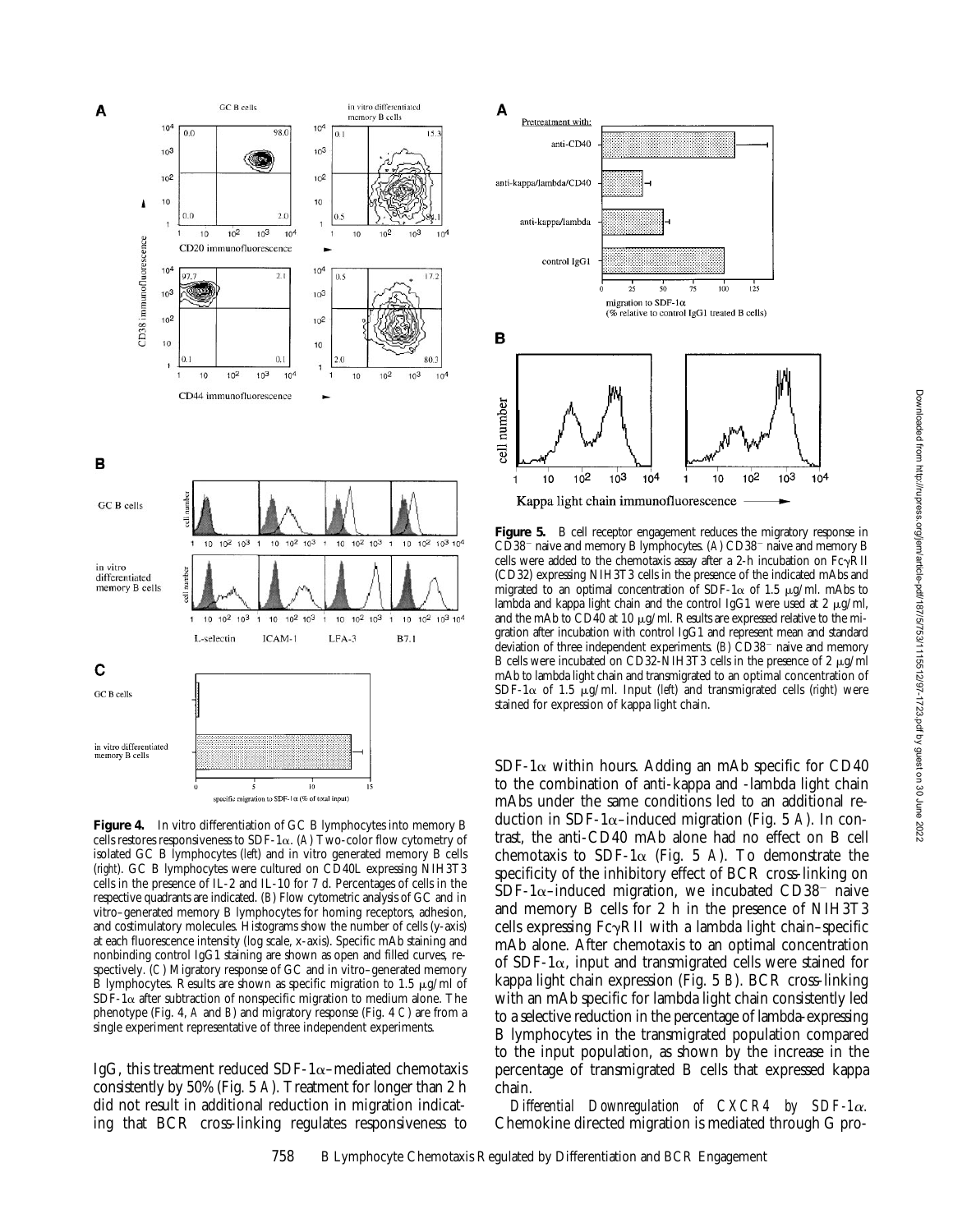

**Figure 4.** In vitro differentiation of GC B lymphocytes into memory B cells restores responsiveness to SDF-1 $\alpha$ . (A) Two-color flow cytometry of isolated GC B lymphocytes (*left*) and in vitro generated memory B cells (*right*). GC B lymphocytes were cultured on CD40L expressing NIH3T3 cells in the presence of IL-2 and IL-10 for 7 d. Percentages of cells in the respective quadrants are indicated. (*B*) Flow cytometric analysis of GC and in vitro–generated memory B lymphocytes for homing receptors, adhesion, and costimulatory molecules. Histograms show the number of cells (y-axis) at each fluorescence intensity (log scale, x-axis). Specific mAb staining and nonbinding control IgG1 staining are shown as open and filled curves, respectively. (*C*) Migratory response of GC and in vitro–generated memory B lymphocytes. Results are shown as specific migration to 1.5  $\mu$ g/ml of  $SDF-1\alpha$  after subtraction of nonspecific migration to medium alone. The phenotype (Fig. 4, *A* and *B*) and migratory response (Fig. 4 *C*) are from a single experiment representative of three independent experiments.

IgG, this treatment reduced SDF-1 $\alpha$ –mediated chemotaxis consistently by 50% (Fig. 5 *A*). Treatment for longer than 2 h did not result in additional reduction in migration indicating that BCR cross-linking regulates responsiveness to



**Figure 5.** B cell receptor engagement reduces the migratory response in CD38<sup>-</sup> naive and memory B lymphocytes. (A) CD38<sup>-</sup> naive and memory B cells were added to the chemotaxis assay after a 2-h incubation on  $Fe\gamma RII$ (CD32) expressing NIH3T3 cells in the presence of the indicated mAbs and migrated to an optimal concentration of SDF-1 $\alpha$  of 1.5 µg/ml. mAbs to lambda and kappa light chain and the control IgG1 were used at  $2 \mu g/ml$ , and the mAb to CD40 at 10  $\mu$ g/ml. Results are expressed relative to the migration after incubation with control IgG1 and represent mean and standard deviation of three independent experiments. (*B*) CD38<sup>-</sup> naive and memory B cells were incubated on CD32-NIH3T3 cells in the presence of 2  $\mu$ g/ml mAb to lambda light chain and transmigrated to an optimal concentration of SDF-1 $\alpha$  of 1.5  $\mu$ g/ml. Input (*left*) and transmigrated cells (*right*) were stained for expression of kappa light chain.

 $SDF-1\alpha$  within hours. Adding an mAb specific for CD40 to the combination of anti-kappa and -lambda light chain mAbs under the same conditions led to an additional reduction in SDF-1 $\alpha$ –induced migration (Fig. 5 A). In contrast, the anti-CD40 mAb alone had no effect on B cell chemotaxis to SDF-1 $\alpha$  (Fig. 5 A). To demonstrate the specificity of the inhibitory effect of BCR cross-linking on SDF-1 $\alpha$ –induced migration, we incubated CD38<sup>-</sup> naive and memory B cells for 2 h in the presence of NIH3T3 cells expressing  $Fc\gamma RII$  with a lambda light chain–specific mAb alone. After chemotaxis to an optimal concentration of SDF-1 $\alpha$ , input and transmigrated cells were stained for kappa light chain expression (Fig. 5 *B*). BCR cross-linking with an mAb specific for lambda light chain consistently led to a selective reduction in the percentage of lambda-expressing B lymphocytes in the transmigrated population compared to the input population, as shown by the increase in the percentage of transmigrated B cells that expressed kappa chain.

*Differential Downregulation of CXCR4 by SDF-1*a*.* Chemokine directed migration is mediated through G pro-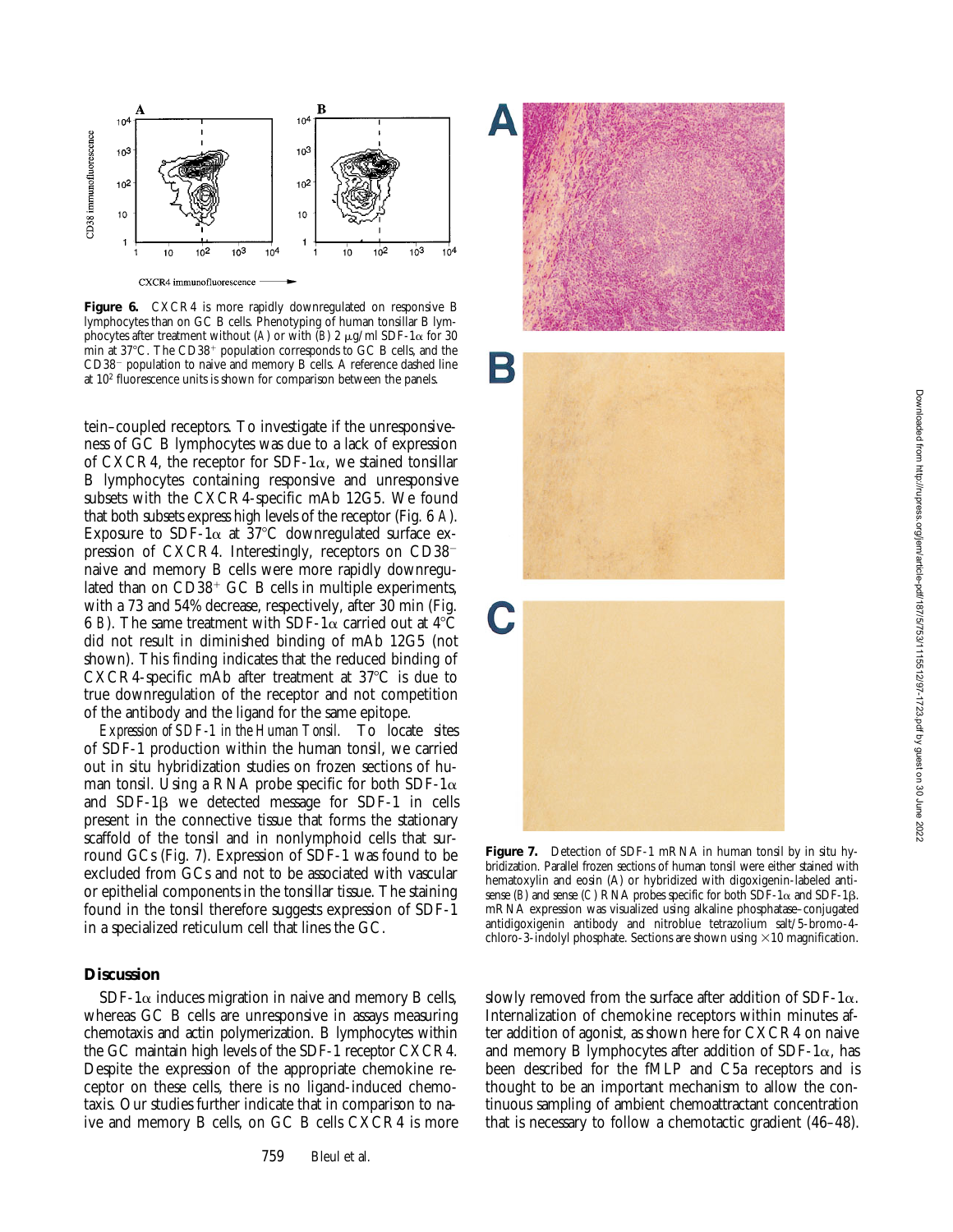

Figure 6. CXCR4 is more rapidly downregulated on responsive B lymphocytes than on GC B cells. Phenotyping of human tonsillar B lymphocytes after treatment without (*A*) or with  $(B)$  2  $\mu$ g/ml SDF-1 $\alpha$  for 30 min at 37°C. The CD38<sup>+</sup> population corresponds to GC B cells, and the CD38<sup>-</sup> population to naive and memory B cells. A reference dashed line at 102 fluorescence units is shown for comparison between the panels.

tein–coupled receptors. To investigate if the unresponsiveness of GC B lymphocytes was due to a lack of expression of CXCR4, the receptor for SDF-1 $\alpha$ , we stained tonsillar B lymphocytes containing responsive and unresponsive subsets with the CXCR4-specific mAb 12G5. We found that both subsets express high levels of the receptor (Fig. 6 *A*). Exposure to SDF-1 $\alpha$  at 37°C downregulated surface expression of CXCR4. Interestingly, receptors on  $CD38$ naive and memory B cells were more rapidly downregulated than on  $CD38<sup>+</sup>$  GC B cells in multiple experiments, with a 73 and 54% decrease, respectively, after 30 min (Fig. 6 *B*). The same treatment with SDF-1 $\alpha$  carried out at 4<sup>°</sup>C did not result in diminished binding of mAb 12G5 (not shown). This finding indicates that the reduced binding of CXCR4-specific mAb after treatment at  $37^{\circ}$ C is due to true downregulation of the receptor and not competition of the antibody and the ligand for the same epitope.

*Expression of SDF-1 in the Human Tonsil.* To locate sites of SDF-1 production within the human tonsil, we carried out in situ hybridization studies on frozen sections of human tonsil. Using a RNA probe specific for both SDF-1 $\alpha$ and  $SDF-1\beta$  we detected message for  $SDF-1$  in cells present in the connective tissue that forms the stationary scaffold of the tonsil and in nonlymphoid cells that surround GCs (Fig. 7). Expression of SDF-1 was found to be excluded from GCs and not to be associated with vascular or epithelial components in the tonsillar tissue. The staining found in the tonsil therefore suggests expression of SDF-1 in a specialized reticulum cell that lines the GC.

# **Discussion**

SDF-1 $\alpha$  induces migration in naive and memory B cells, whereas GC B cells are unresponsive in assays measuring chemotaxis and actin polymerization. B lymphocytes within the GC maintain high levels of the SDF-1 receptor CXCR4. Despite the expression of the appropriate chemokine receptor on these cells, there is no ligand-induced chemotaxis. Our studies further indicate that in comparison to naive and memory B cells, on GC B cells CXCR4 is more







**Figure 7.** Detection of SDF-1 mRNA in human tonsil by in situ hybridization. Parallel frozen sections of human tonsil were either stained with hematoxylin and eosin (A) or hybridized with digoxigenin-labeled antisense (*B*) and sense (*C*) RNA probes specific for both  $SDF-1\alpha$  and  $SDF-1\beta$ . mRNA expression was visualized using alkaline phosphatase–conjugated antidigoxigenin antibody and nitroblue tetrazolium salt/5-bromo-4 chloro-3-indolyl phosphate. Sections are shown using  $\times 10$  magnification.

slowly removed from the surface after addition of SDF-1 $\alpha$ . Internalization of chemokine receptors within minutes after addition of agonist, as shown here for CXCR4 on naive and memory B lymphocytes after addition of SDF-1 $\alpha$ , has been described for the fMLP and C5a receptors and is thought to be an important mechanism to allow the continuous sampling of ambient chemoattractant concentration that is necessary to follow a chemotactic gradient (46–48).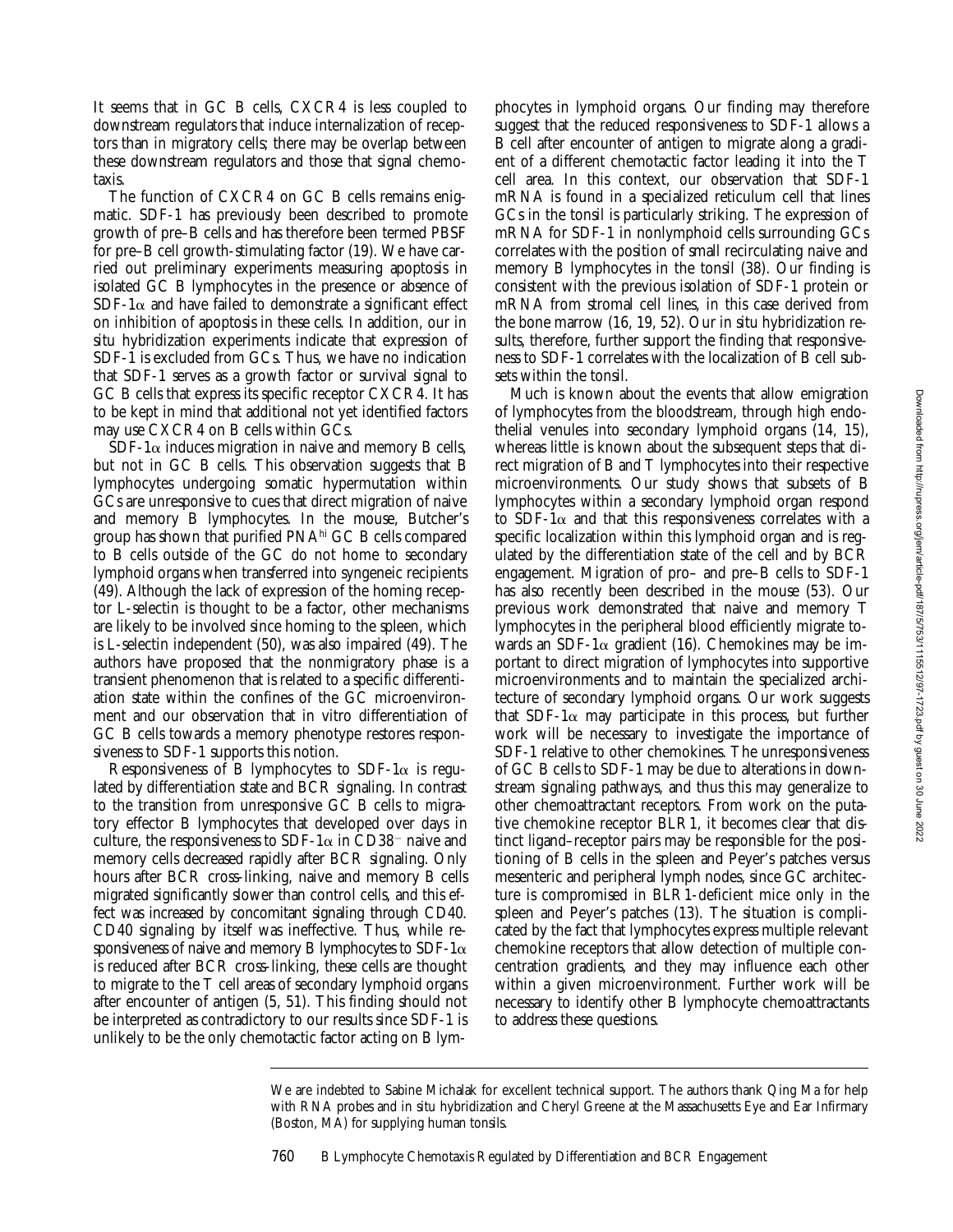It seems that in GC B cells, CXCR4 is less coupled to downstream regulators that induce internalization of receptors than in migratory cells; there may be overlap between these downstream regulators and those that signal chemotaxis.

The function of CXCR4 on GC B cells remains enigmatic. SDF-1 has previously been described to promote growth of pre–B cells and has therefore been termed PBSF for pre–B cell growth-stimulating factor (19). We have carried out preliminary experiments measuring apoptosis in isolated GC B lymphocytes in the presence or absence of  $SDF-1\alpha$  and have failed to demonstrate a significant effect on inhibition of apoptosis in these cells. In addition, our in situ hybridization experiments indicate that expression of SDF-1 is excluded from GCs. Thus, we have no indication that SDF-1 serves as a growth factor or survival signal to GC B cells that express its specific receptor CXCR4. It has to be kept in mind that additional not yet identified factors may use CXCR4 on B cells within GCs.

SDF-1 $\alpha$  induces migration in naive and memory B cells, but not in GC B cells. This observation suggests that B lymphocytes undergoing somatic hypermutation within GCs are unresponsive to cues that direct migration of naive and memory B lymphocytes. In the mouse, Butcher's group has shown that purified PNAhi GC B cells compared to B cells outside of the GC do not home to secondary lymphoid organs when transferred into syngeneic recipients (49). Although the lack of expression of the homing receptor L-selectin is thought to be a factor, other mechanisms are likely to be involved since homing to the spleen, which is L-selectin independent (50), was also impaired (49). The authors have proposed that the nonmigratory phase is a transient phenomenon that is related to a specific differentiation state within the confines of the GC microenvironment and our observation that in vitro differentiation of GC B cells towards a memory phenotype restores responsiveness to SDF-1 supports this notion.

Responsiveness of B lymphocytes to SDF-1 $\alpha$  is regulated by differentiation state and BCR signaling. In contrast to the transition from unresponsive GC B cells to migratory effector B lymphocytes that developed over days in culture, the responsiveness to SDF-1 $\alpha$  in CD38<sup>-</sup> naive and memory cells decreased rapidly after BCR signaling. Only hours after BCR cross-linking, naive and memory B cells migrated significantly slower than control cells, and this effect was increased by concomitant signaling through CD40. CD40 signaling by itself was ineffective. Thus, while responsiveness of naive and memory B lymphocytes to SDF-1 $\alpha$ is reduced after BCR cross-linking, these cells are thought to migrate to the T cell areas of secondary lymphoid organs after encounter of antigen (5, 51). This finding should not be interpreted as contradictory to our results since SDF-1 is unlikely to be the only chemotactic factor acting on B lym-

phocytes in lymphoid organs. Our finding may therefore suggest that the reduced responsiveness to SDF-1 allows a B cell after encounter of antigen to migrate along a gradient of a different chemotactic factor leading it into the T cell area. In this context, our observation that SDF-1 mRNA is found in a specialized reticulum cell that lines GCs in the tonsil is particularly striking. The expression of mRNA for SDF-1 in nonlymphoid cells surrounding GCs correlates with the position of small recirculating naive and memory B lymphocytes in the tonsil (38). Our finding is consistent with the previous isolation of SDF-1 protein or mRNA from stromal cell lines, in this case derived from the bone marrow (16, 19, 52). Our in situ hybridization results, therefore, further support the finding that responsiveness to SDF-1 correlates with the localization of B cell subsets within the tonsil.

Much is known about the events that allow emigration of lymphocytes from the bloodstream, through high endothelial venules into secondary lymphoid organs (14, 15), whereas little is known about the subsequent steps that direct migration of B and T lymphocytes into their respective microenvironments. Our study shows that subsets of B lymphocytes within a secondary lymphoid organ respond to SDF-1 $\alpha$  and that this responsiveness correlates with a specific localization within this lymphoid organ and is regulated by the differentiation state of the cell and by BCR engagement. Migration of pro– and pre–B cells to SDF-1 has also recently been described in the mouse (53). Our previous work demonstrated that naive and memory T lymphocytes in the peripheral blood efficiently migrate towards an SDF-1 $\alpha$  gradient (16). Chemokines may be important to direct migration of lymphocytes into supportive microenvironments and to maintain the specialized architecture of secondary lymphoid organs. Our work suggests that SDF-1 $\alpha$  may participate in this process, but further work will be necessary to investigate the importance of SDF-1 relative to other chemokines. The unresponsiveness of GC B cells to SDF-1 may be due to alterations in downstream signaling pathways, and thus this may generalize to other chemoattractant receptors. From work on the putative chemokine receptor BLR1, it becomes clear that distinct ligand–receptor pairs may be responsible for the positioning of B cells in the spleen and Peyer's patches versus mesenteric and peripheral lymph nodes, since GC architecture is compromised in BLR1-deficient mice only in the spleen and Peyer's patches (13). The situation is complicated by the fact that lymphocytes express multiple relevant chemokine receptors that allow detection of multiple concentration gradients, and they may influence each other within a given microenvironment. Further work will be necessary to identify other B lymphocyte chemoattractants to address these questions.

We are indebted to Sabine Michalak for excellent technical support. The authors thank Qing Ma for help with RNA probes and in situ hybridization and Cheryl Greene at the Massachusetts Eye and Ear Infirmary (Boston, MA) for supplying human tonsils.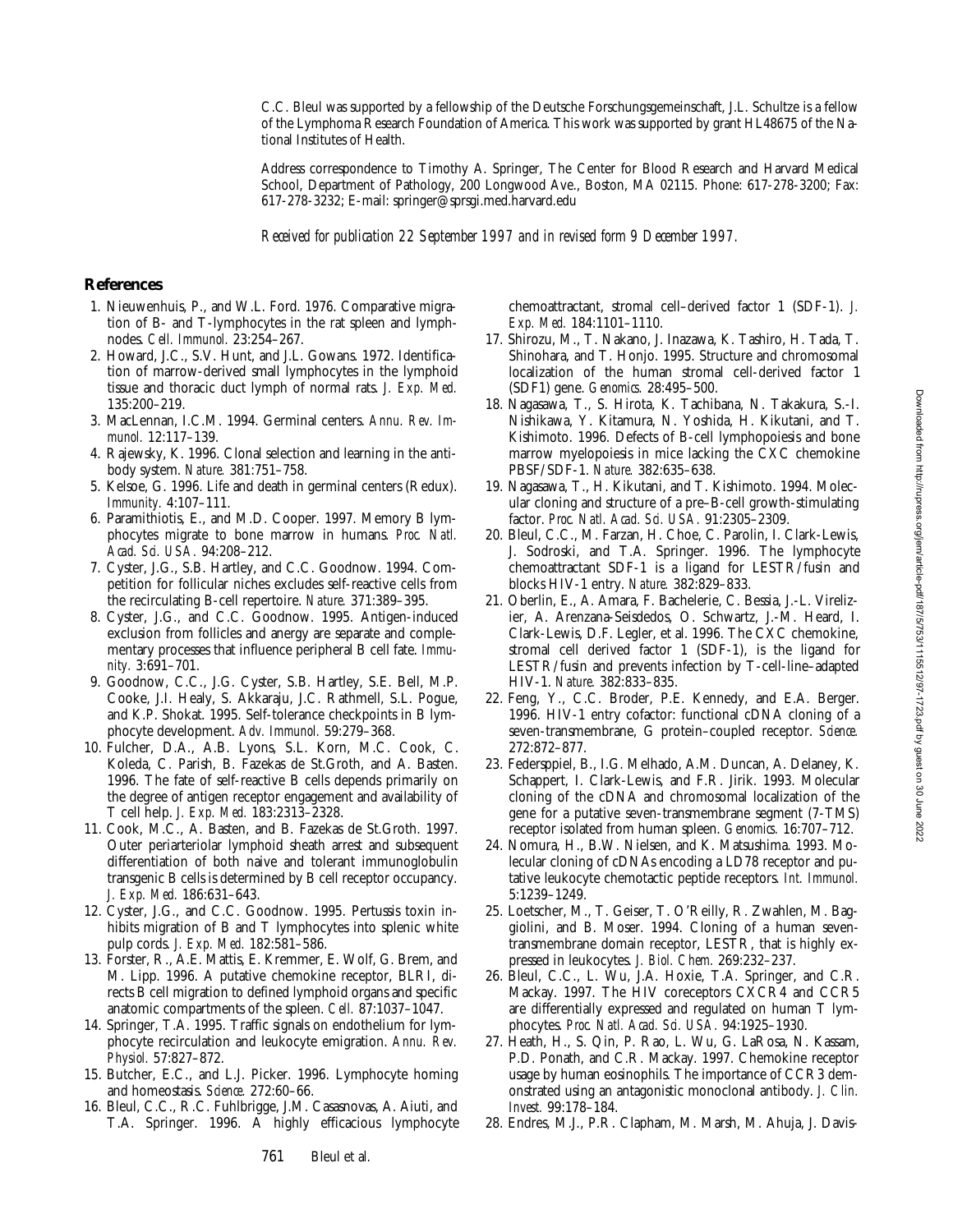C.C. Bleul was supported by a fellowship of the Deutsche Forschungsgemeinschaft, J.L. Schultze is a fellow of the Lymphoma Research Foundation of America. This work was supported by grant HL48675 of the National Institutes of Health.

Address correspondence to Timothy A. Springer, The Center for Blood Research and Harvard Medical School, Department of Pathology, 200 Longwood Ave., Boston, MA 02115. Phone: 617-278-3200; Fax: 617-278-3232; E-mail: springer@sprsgi.med.harvard.edu

*Received for publication 22 September 1997 and in revised form 9 December 1997.*

#### **References**

- 1. Nieuwenhuis, P., and W.L. Ford. 1976. Comparative migration of B- and T-lymphocytes in the rat spleen and lymphnodes. *Cell. Immunol.* 23:254–267.
- 2. Howard, J.C., S.V. Hunt, and J.L. Gowans. 1972. Identification of marrow-derived small lymphocytes in the lymphoid tissue and thoracic duct lymph of normal rats. *J. Exp. Med.* 135:200–219.
- 3. MacLennan, I.C.M. 1994. Germinal centers. *Annu. Rev. Immunol.* 12:117–139.
- 4. Rajewsky, K. 1996. Clonal selection and learning in the antibody system. *Nature.* 381:751–758.
- 5. Kelsoe, G. 1996. Life and death in germinal centers (Redux). *Immunity.* 4:107–111.
- 6. Paramithiotis, E., and M.D. Cooper. 1997. Memory B lymphocytes migrate to bone marrow in humans. *Proc. Natl. Acad. Sci. USA.* 94:208–212.
- 7. Cyster, J.G., S.B. Hartley, and C.C. Goodnow. 1994. Competition for follicular niches excludes self-reactive cells from the recirculating B-cell repertoire. *Nature.* 371:389–395.
- 8. Cyster, J.G., and C.C. Goodnow. 1995. Antigen-induced exclusion from follicles and anergy are separate and complementary processes that influence peripheral B cell fate. *Immunity.* 3:691–701.
- 9. Goodnow, C.C., J.G. Cyster, S.B. Hartley, S.E. Bell, M.P. Cooke, J.I. Healy, S. Akkaraju, J.C. Rathmell, S.L. Pogue, and K.P. Shokat. 1995. Self-tolerance checkpoints in B lymphocyte development. *Adv. Immunol.* 59:279–368.
- 10. Fulcher, D.A., A.B. Lyons, S.L. Korn, M.C. Cook, C. Koleda, C. Parish, B. Fazekas de St.Groth, and A. Basten. 1996. The fate of self-reactive B cells depends primarily on the degree of antigen receptor engagement and availability of T cell help. *J. Exp. Med.* 183:2313–2328.
- 11. Cook, M.C., A. Basten, and B. Fazekas de St.Groth. 1997. Outer periarteriolar lymphoid sheath arrest and subsequent differentiation of both naive and tolerant immunoglobulin transgenic B cells is determined by B cell receptor occupancy. *J. Exp. Med.* 186:631–643.
- 12. Cyster, J.G., and C.C. Goodnow. 1995. Pertussis toxin inhibits migration of B and T lymphocytes into splenic white pulp cords. *J. Exp. Med.* 182:581–586.
- 13. Forster, R., A.E. Mattis, E. Kremmer, E. Wolf, G. Brem, and M. Lipp. 1996. A putative chemokine receptor, BLRI, directs B cell migration to defined lymphoid organs and specific anatomic compartments of the spleen. *Cell.* 87:1037–1047.
- 14. Springer, T.A. 1995. Traffic signals on endothelium for lymphocyte recirculation and leukocyte emigration. *Annu. Rev. Physiol.* 57:827–872.
- 15. Butcher, E.C., and L.J. Picker. 1996. Lymphocyte homing and homeostasis. *Science.* 272:60–66.
- 16. Bleul, C.C., R.C. Fuhlbrigge, J.M. Casasnovas, A. Aiuti, and T.A. Springer. 1996. A highly efficacious lymphocyte

chemoattractant, stromal cell–derived factor 1 (SDF-1). *J. Exp. Med.* 184:1101–1110.

- 17. Shirozu, M., T. Nakano, J. Inazawa, K. Tashiro, H. Tada, T. Shinohara, and T. Honjo. 1995. Structure and chromosomal localization of the human stromal cell-derived factor 1 (SDF1) gene. *Genomics.* 28:495–500.
- 18. Nagasawa, T., S. Hirota, K. Tachibana, N. Takakura, S.-I. Nishikawa, Y. Kitamura, N. Yoshida, H. Kikutani, and T. Kishimoto. 1996. Defects of B-cell lymphopoiesis and bone marrow myelopoiesis in mice lacking the CXC chemokine PBSF/SDF-1. *Nature.* 382:635–638.
- 19. Nagasawa, T., H. Kikutani, and T. Kishimoto. 1994. Molecular cloning and structure of a pre–B-cell growth-stimulating factor. *Proc. Natl. Acad. Sci. USA.* 91:2305–2309.
- 20. Bleul, C.C., M. Farzan, H. Choe, C. Parolin, I. Clark-Lewis, J. Sodroski, and T.A. Springer. 1996. The lymphocyte chemoattractant SDF-1 is a ligand for LESTR/fusin and blocks HIV-1 entry. *Nature.* 382:829–833.
- 21. Oberlin, E., A. Amara, F. Bachelerie, C. Bessia, J.-L. Virelizier, A. Arenzana-Seisdedos, O. Schwartz, J.-M. Heard, I. Clark-Lewis, D.F. Legler, et al. 1996. The CXC chemokine, stromal cell derived factor 1 (SDF-1), is the ligand for LESTR/fusin and prevents infection by T-cell-line–adapted HIV-1. *Nature.* 382:833–835.
- 22. Feng, Y., C.C. Broder, P.E. Kennedy, and E.A. Berger. 1996. HIV-1 entry cofactor: functional cDNA cloning of a seven-transmembrane, G protein–coupled receptor. *Science.* 272:872–877.
- 23. Federsppiel, B., I.G. Melhado, A.M. Duncan, A. Delaney, K. Schappert, I. Clark-Lewis, and F.R. Jirik. 1993. Molecular cloning of the cDNA and chromosomal localization of the gene for a putative seven-transmembrane segment (7-TMS) receptor isolated from human spleen. *Genomics.* 16:707–712.
- 24. Nomura, H., B.W. Nielsen, and K. Matsushima. 1993. Molecular cloning of cDNAs encoding a LD78 receptor and putative leukocyte chemotactic peptide receptors. *Int. Immunol.* 5:1239–1249.
- 25. Loetscher, M., T. Geiser, T. O'Reilly, R. Zwahlen, M. Baggiolini, and B. Moser. 1994. Cloning of a human seventransmembrane domain receptor, LESTR, that is highly expressed in leukocytes. *J. Biol. Chem.* 269:232–237.
- 26. Bleul, C.C., L. Wu, J.A. Hoxie, T.A. Springer, and C.R. Mackay. 1997. The HIV coreceptors CXCR4 and CCR5 are differentially expressed and regulated on human T lymphocytes. *Proc. Natl. Acad. Sci. USA.* 94:1925–1930.
- 27. Heath, H., S. Qin, P. Rao, L. Wu, G. LaRosa, N. Kassam, P.D. Ponath, and C.R. Mackay. 1997. Chemokine receptor usage by human eosinophils. The importance of CCR3 demonstrated using an antagonistic monoclonal antibody. *J. Clin. Invest.* 99:178–184.
- 28. Endres, M.J., P.R. Clapham, M. Marsh, M. Ahuja, J. Davis-